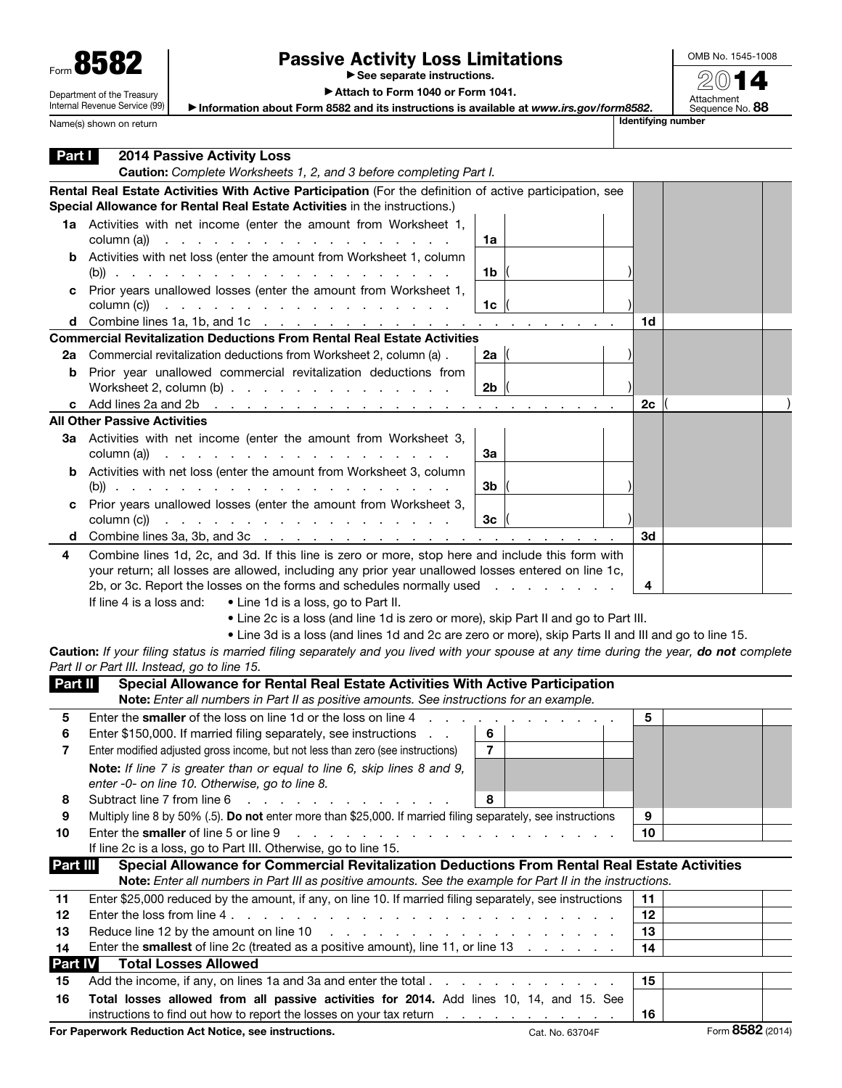| Form 858                   |
|----------------------------|
| Department of the Treasury |

Internal Revenue Service (99)

Name(s) shown on return

## Passive Activity Loss Limitations

▶ See separate instructions.

OMB No. 1545-1008 2014

Attachment<br>Sequence No. **88** 

▶ Attach to Form 1040 or Form 1041.

▶ Information about Form 8582 and its instructions is available at *www.irs.gov/form8582*.

| Part I         | <b>2014 Passive Activity Loss</b>                                                                                                                                                                                                                                                                                  |                 |    |                  |  |  |  |  |  |
|----------------|--------------------------------------------------------------------------------------------------------------------------------------------------------------------------------------------------------------------------------------------------------------------------------------------------------------------|-----------------|----|------------------|--|--|--|--|--|
|                | Caution: Complete Worksheets 1, 2, and 3 before completing Part I.                                                                                                                                                                                                                                                 |                 |    |                  |  |  |  |  |  |
|                | Rental Real Estate Activities With Active Participation (For the definition of active participation, see<br>Special Allowance for Rental Real Estate Activities in the instructions.)                                                                                                                              |                 |    |                  |  |  |  |  |  |
|                | 1a Activities with net income (enter the amount from Worksheet 1,<br>column (a))<br>de la construcción de la construcción de la construcción de la construcción de la construcción de la construcción de la construcción de la construcción de la construcción de la construcción de la construcción de la constru | 1a              |    |                  |  |  |  |  |  |
|                | <b>b</b> Activities with net loss (enter the amount from Worksheet 1, column                                                                                                                                                                                                                                       | 1b              |    |                  |  |  |  |  |  |
| c              | Prior years unallowed losses (enter the amount from Worksheet 1,<br>column (c))<br>and the contract of the contract of the contract of the contract of                                                                                                                                                             | 1c              |    |                  |  |  |  |  |  |
|                | <b>d</b> Combine lines 1a, 1b, and 1c $\ldots$ $\ldots$ $\ldots$ $\ldots$ $\ldots$ $\ldots$ $\ldots$ $\ldots$ $\ldots$                                                                                                                                                                                             |                 | 1d |                  |  |  |  |  |  |
|                | <b>Commercial Revitalization Deductions From Rental Real Estate Activities</b>                                                                                                                                                                                                                                     |                 |    |                  |  |  |  |  |  |
| 2a             | Commercial revitalization deductions from Worksheet 2, column (a).                                                                                                                                                                                                                                                 | 2a $\parallel$  |    |                  |  |  |  |  |  |
| b              | Prior year unallowed commercial revitalization deductions from                                                                                                                                                                                                                                                     |                 |    |                  |  |  |  |  |  |
|                | Worksheet 2, column $(b)$ .                                                                                                                                                                                                                                                                                        | 2 <sub>b</sub>  |    |                  |  |  |  |  |  |
|                | c Add lines 2a and 2b $\ldots$ $\ldots$ $\ldots$ $\ldots$ $\ldots$ $\ldots$ $\ldots$ $\ldots$ $\ldots$<br><b>All Other Passive Activities</b>                                                                                                                                                                      |                 | 2с |                  |  |  |  |  |  |
|                |                                                                                                                                                                                                                                                                                                                    |                 |    |                  |  |  |  |  |  |
|                | 3a Activities with net income (enter the amount from Worksheet 3,<br>column (a))<br>a construction of the construction of the construction of                                                                                                                                                                      | За              |    |                  |  |  |  |  |  |
|                | <b>b</b> Activities with net loss (enter the amount from Worksheet 3, column                                                                                                                                                                                                                                       | 3b              |    |                  |  |  |  |  |  |
| c              | Prior years unallowed losses (enter the amount from Worksheet 3,<br>column (c))<br>والمتعاون والمتعاون والمتعاون والمتعاون والمتعاون والمتعاون                                                                                                                                                                     | Зc              |    |                  |  |  |  |  |  |
| d              |                                                                                                                                                                                                                                                                                                                    |                 | 3d |                  |  |  |  |  |  |
| 4              | Combine lines 1d, 2c, and 3d. If this line is zero or more, stop here and include this form with                                                                                                                                                                                                                   |                 |    |                  |  |  |  |  |  |
|                | your return; all losses are allowed, including any prior year unallowed losses entered on line 1c,                                                                                                                                                                                                                 |                 |    |                  |  |  |  |  |  |
|                | 2b, or 3c. Report the losses on the forms and schedules normally used<br>4                                                                                                                                                                                                                                         |                 |    |                  |  |  |  |  |  |
|                | If line 4 is a loss and:<br>• Line 1d is a loss, go to Part II.                                                                                                                                                                                                                                                    |                 |    |                  |  |  |  |  |  |
|                | . Line 2c is a loss (and line 1d is zero or more), skip Part II and go to Part III.                                                                                                                                                                                                                                |                 |    |                  |  |  |  |  |  |
|                | . Line 3d is a loss (and lines 1d and 2c are zero or more), skip Parts II and III and go to line 15.                                                                                                                                                                                                               |                 |    |                  |  |  |  |  |  |
|                | Caution: If your filing status is married filing separately and you lived with your spouse at any time during the year, do not complete                                                                                                                                                                            |                 |    |                  |  |  |  |  |  |
|                | Part II or Part III. Instead, go to line 15.                                                                                                                                                                                                                                                                       |                 |    |                  |  |  |  |  |  |
| Part II        | Special Allowance for Rental Real Estate Activities With Active Participation                                                                                                                                                                                                                                      |                 |    |                  |  |  |  |  |  |
|                | Note: Enter all numbers in Part II as positive amounts. See instructions for an example.                                                                                                                                                                                                                           |                 |    |                  |  |  |  |  |  |
| 5              | Enter the smaller of the loss on line 1d or the loss on line 4<br><b>Contract Contract Contract</b>                                                                                                                                                                                                                |                 | 5  |                  |  |  |  |  |  |
| 6              | Enter \$150,000. If married filing separately, see instructions                                                                                                                                                                                                                                                    | 6               |    |                  |  |  |  |  |  |
|                | Enter modified adjusted gross income, but not less than zero (see instructions)                                                                                                                                                                                                                                    | $\overline{7}$  |    |                  |  |  |  |  |  |
|                | Note: If line 7 is greater than or equal to line 6, skip lines 8 and 9,                                                                                                                                                                                                                                            |                 |    |                  |  |  |  |  |  |
| 8              | enter -0- on line 10. Otherwise, go to line 8.<br>Subtract line 7 from line 6<br><b>Service State</b>                                                                                                                                                                                                              | 8               |    |                  |  |  |  |  |  |
| 9              | Multiply line 8 by 50% (.5). Do not enter more than \$25,000. If married filing separately, see instructions                                                                                                                                                                                                       |                 | 9  |                  |  |  |  |  |  |
| 10             | Enter the smaller of line 5 or line 9<br>and the contract of the contract of the                                                                                                                                                                                                                                   |                 | 10 |                  |  |  |  |  |  |
|                | If line 2c is a loss, go to Part III. Otherwise, go to line 15.                                                                                                                                                                                                                                                    |                 |    |                  |  |  |  |  |  |
| Part III       | Special Allowance for Commercial Revitalization Deductions From Rental Real Estate Activities                                                                                                                                                                                                                      |                 |    |                  |  |  |  |  |  |
|                | Note: Enter all numbers in Part III as positive amounts. See the example for Part II in the instructions.                                                                                                                                                                                                          |                 |    |                  |  |  |  |  |  |
| 11             | Enter \$25,000 reduced by the amount, if any, on line 10. If married filing separately, see instructions                                                                                                                                                                                                           |                 | 11 |                  |  |  |  |  |  |
| 12             |                                                                                                                                                                                                                                                                                                                    |                 | 12 |                  |  |  |  |  |  |
| 13             | Reduce line 12 by the amount on line 10<br>a car a car a car a car a car a car a car a car a car                                                                                                                                                                                                                   |                 | 13 |                  |  |  |  |  |  |
| 14             | Enter the smallest of line 2c (treated as a positive amount), line 11, or line 13                                                                                                                                                                                                                                  |                 | 14 |                  |  |  |  |  |  |
| <b>Part IV</b> | <b>Total Losses Allowed</b>                                                                                                                                                                                                                                                                                        |                 |    |                  |  |  |  |  |  |
| 15             | Add the income, if any, on lines 1a and 3a and enter the total.                                                                                                                                                                                                                                                    |                 | 15 |                  |  |  |  |  |  |
| 16             | Total losses allowed from all passive activities for 2014. Add lines 10, 14, and 15. See                                                                                                                                                                                                                           |                 |    |                  |  |  |  |  |  |
|                | instructions to find out how to report the losses on your tax return                                                                                                                                                                                                                                               |                 | 16 |                  |  |  |  |  |  |
|                | For Paperwork Reduction Act Notice, see instructions.                                                                                                                                                                                                                                                              | Cat. No. 63704F |    | Form 8582 (2014) |  |  |  |  |  |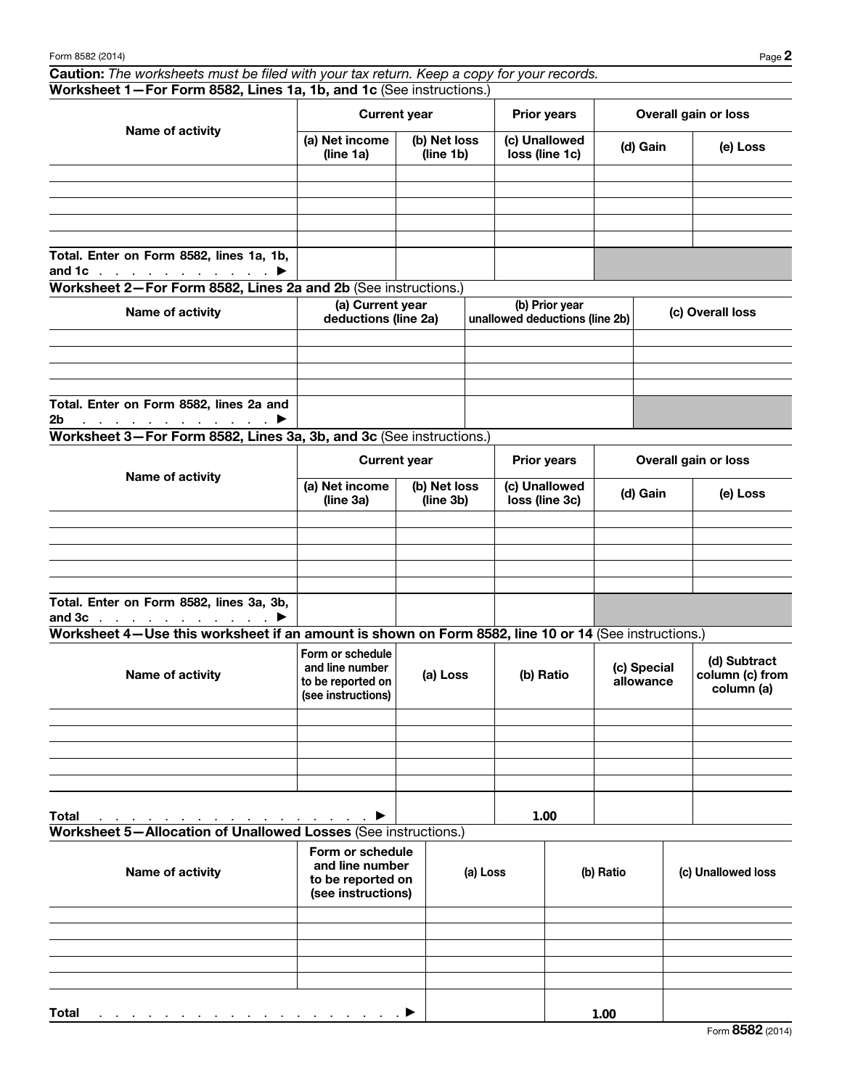Caution: *The worksheets must be filed with your tax return. Keep a copy for your records.* Worksheet 1—For Form 8582, Lines 1a, 1b, and 1c (See instructions.)

| Name of activity                                                                       | <b>Current year</b>         |                           | <b>Prior years</b>              | Overall gain or loss |          |  |
|----------------------------------------------------------------------------------------|-----------------------------|---------------------------|---------------------------------|----------------------|----------|--|
|                                                                                        | (a) Net income<br>(line 1a) | (b) Net loss<br>(line 1b) | (c) Unallowed<br>loss (line 1c) | (d) Gain             | (e) Loss |  |
|                                                                                        |                             |                           |                                 |                      |          |  |
|                                                                                        |                             |                           |                                 |                      |          |  |
|                                                                                        |                             |                           |                                 |                      |          |  |
|                                                                                        |                             |                           |                                 |                      |          |  |
|                                                                                        |                             |                           |                                 |                      |          |  |
| Total. Enter on Form 8582, lines 1a, 1b,<br>and 1c $\ldots$ $\ldots$ $\ldots$ $\ldots$ |                             |                           |                                 |                      |          |  |

Worksheet 2—For Form 8582, Lines 2a and 2b (See instructions.)

| Name of activity                                                                    | (a) Current year<br>deductions (line 2a) | (b) Prior year<br>unallowed deductions (line 2b) | (c) Overall loss |
|-------------------------------------------------------------------------------------|------------------------------------------|--------------------------------------------------|------------------|
|                                                                                     |                                          |                                                  |                  |
|                                                                                     |                                          |                                                  |                  |
|                                                                                     |                                          |                                                  |                  |
|                                                                                     |                                          |                                                  |                  |
| Total. Enter on Form 8582, lines 2a and                                             |                                          |                                                  |                  |
| 2 <sub>b</sub><br>$\ldots$ . The set of the set of the set of $\blacktriangleright$ |                                          |                                                  |                  |

Worksheet 3—For Form 8582, Lines 3a, 3b, and 3c (See instructions.)

| Name of activity                                                           |                             | <b>Current year</b>       | <b>Prior years</b>              | Overall gain or loss |          |  |
|----------------------------------------------------------------------------|-----------------------------|---------------------------|---------------------------------|----------------------|----------|--|
|                                                                            | (a) Net income<br>(line 3a) | (b) Net loss<br>(line 3b) | (c) Unallowed<br>loss (line 3c) | (d) Gain             | (e) Loss |  |
|                                                                            |                             |                           |                                 |                      |          |  |
|                                                                            |                             |                           |                                 |                      |          |  |
|                                                                            |                             |                           |                                 |                      |          |  |
|                                                                            |                             |                           |                                 |                      |          |  |
|                                                                            |                             |                           |                                 |                      |          |  |
| Total. Enter on Form 8582, lines 3a, 3b,<br>and $3c$ $\blacktriangleright$ |                             |                           |                                 |                      |          |  |

Worksheet 4—Use this worksheet if an amount is shown on Form 8582, line 10 or 14 (See instructions.)

| Name of activity                                                                | Form or schedule<br>and line number<br>to be reported on<br>(see instructions) | (a) Loss | (b) Ratio | (c) Special<br>allowance | (d) Subtract<br>column (c) from<br>column (a) |
|---------------------------------------------------------------------------------|--------------------------------------------------------------------------------|----------|-----------|--------------------------|-----------------------------------------------|
|                                                                                 |                                                                                |          |           |                          |                                               |
|                                                                                 |                                                                                |          |           |                          |                                               |
|                                                                                 |                                                                                |          |           |                          |                                               |
|                                                                                 |                                                                                |          |           |                          |                                               |
|                                                                                 |                                                                                |          |           |                          |                                               |
| <b>Total</b><br>and a series of the contract of the contract of the contract of | $\blacktriangleright$                                                          |          | 1.00      |                          |                                               |

Worksheet 5—Allocation of Unallowed Losses (See instructions.)

| Name of activity                                                                    | Form or schedule<br>and line number<br>to be reported on<br>(see instructions) | (a) Loss | (b) Ratio | (c) Unallowed loss |
|-------------------------------------------------------------------------------------|--------------------------------------------------------------------------------|----------|-----------|--------------------|
|                                                                                     |                                                                                |          |           |                    |
|                                                                                     |                                                                                |          |           |                    |
|                                                                                     |                                                                                |          |           |                    |
|                                                                                     |                                                                                |          |           |                    |
|                                                                                     |                                                                                |          |           |                    |
| <b>Total</b><br>and the contract of the contract of the contract of the contract of |                                                                                |          | 1.00      |                    |